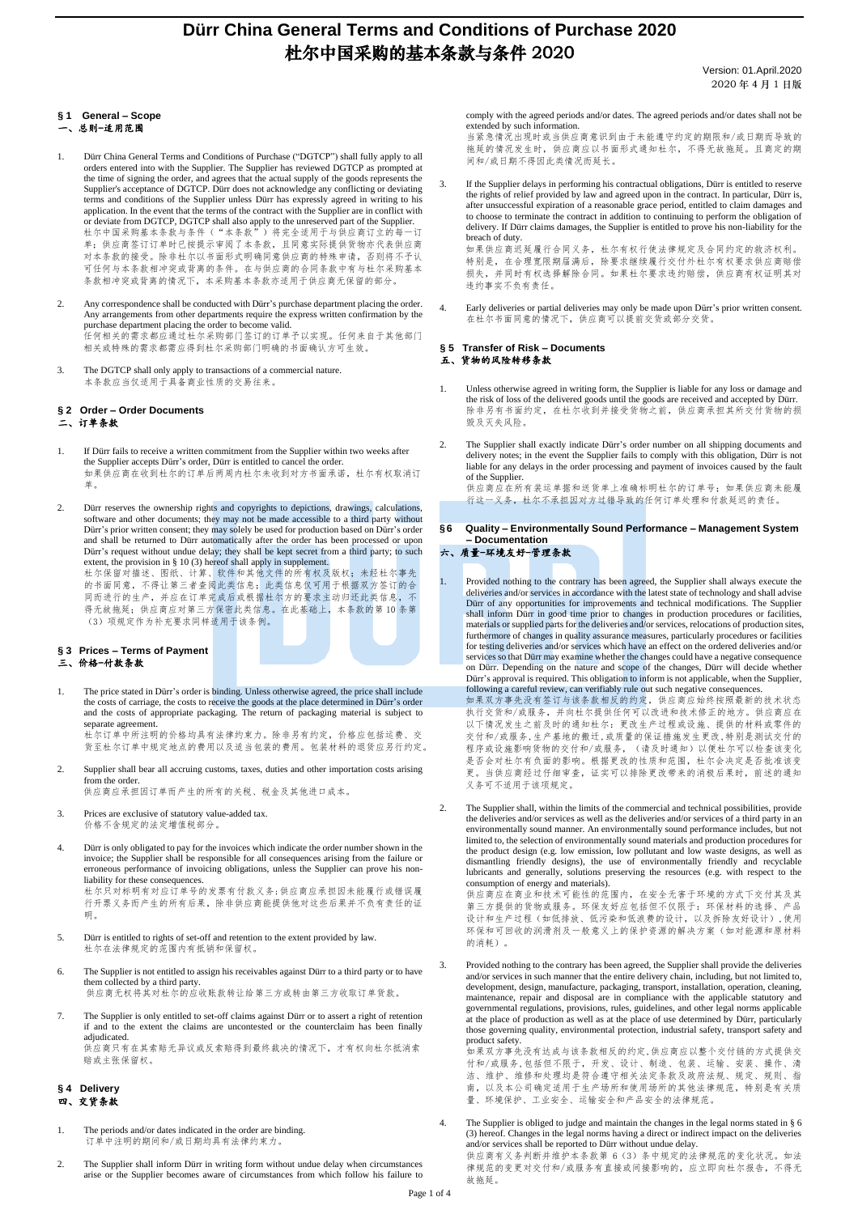# **Dürr China General Terms and Conditions of Purchase 2020** 杜尔中国采购的基本条款与条件 2020

Version: 01.April.2020 2020 年 4 月 1 日版

## **§ 1 General – Scope**

- 总则-适用范围
- 1. Dürr China General Terms and Conditions of Purchase ("DGTCP") shall fully apply to all orders entered into with the Supplier. The Supplier has reviewed DGTCP as prompted at the time of signing the order, and agrees that the actual supply of the goods represents the Supplier's acceptance of DGTCP. Dürr does not acknowledge any conflicting or deviating terms and conditions of the Supplier unless Dürr has expressly agreed in writing to his application. In the event that the terms of the contract with the Supplier are in conflict with or deviate from DGTCP, DGTCP shall also apply to the unreserved part of the Supplier.<br>杜尔中国采购基本条款与条件("本条款")将完全适用于与供应商订立的每一订 单;供应商签订订单时已按提示审阅了本条款,且同意实际提供货物亦代表供应商 对本条款的接受。除非杜尔以书面形式明确同意供应商的特殊申请,否则将不予认 7.7.4.3.1.3.3.3.2.8 1.8.1.4.7 5.7.1.1.3.3.7.7.3.7.1.3.4.7.2.1.1.3.7.1.1.1.7.1.1.<br>可任何与本条款相冲突或背离的条件。在与供应商的合同条款中有与杜尔采购基本 条款相冲突或背离的情况下,本采购基本条款亦适用于供应商无保留的部分。
- Any correspondence shall be conducted with Dürr's purchase department placing the order. Any arrangements from other departments require the express written confirmation by the purchase department placing the order to become valid. 任何相关的需求都应通过杜尔采购部门签订的订单予以实现。任何来自于其他部门 相关或特殊的需求都需应得到杜尔采购部门明确的书面确认方可生效。
- 3. The DGTCP shall only apply to transactions of a commercial nature. 本条款应当仅适用于具备商业性质的交易往来。

#### **§ 2 Order – Order Documents** 二、订单条款

- 1. If Dürr fails to receive a written commitment from the Supplier within two weeks after the Supplier accepts Dürr's order, Dürr is entitled to cancel the order. 如果供应商在收到杜尔的订单后两周内杜尔未收到对方书面承诺,杜尔有权取消订 单。
- 2. Dürr reserves the ownership rights and copyrights to depictions, drawings, calculations, software and other documents; they may not be made accessible to a third party without Dürr's prior written consent; they may solely be used for production based on Dürr's order and shall be returned to Dürr automatically after the order has been processed or upon Dürr's request without undue delay; they shall be kept secret from a third party; to such extent, the provision in § 10 (3) hereof shall apply in supplement. 杜尔保留对描述、图纸、计算、软件和其他文件的所有权及版权;未经杜尔事先

的书面同意,不得让第三者查阅此类信息;此类信息仅可用于根据双方签订的合 同而进行的生产,并应在订单完成后或根据杜尔方的要求主动归还此类信息,不 得无故拖延;供应商应对第三方保密此类信息。在此基础上,本条款的第 10 条第 (3)项规定作为补充要求同样适用于该条例。

### **§ 3 Prices – Terms of Payment** 三、价格-付款条款

1. The price stated in Dürr's order is binding. Unless otherwise agreed, the price shall include the costs of carriage, the costs to receive the goods at the place determined in Dürr's order and the costs of appropriate packaging. The return of packaging material is subject to separate agreement. 杜尔订单中所注明的价格均具有法律约束力。除非另有约定,价格应包括运费、交

货至杜尔订单中规定地点的费用以及适当包装的费用。包装材料的退货应另行约定。 2. Supplier shall bear all accruing customs, taxes, duties and other importation costs arising

from the order. 供应商应承担因订单而产生的所有的关税、税金及其他进口成本。

- 3. Prices are exclusive of statutory value-added tax. 价格不含规定的法定增值税部分。
- 4. Dürr is only obligated to pay for the invoices which indicate the order number shown in the invoice; the Supplier shall be responsible for all consequences arising from the failure or erroneous performance of invoicing obligations, unless the Supplier can prove his nonliability for these consequences.

杜尔只对标明有对应订单号的发票有付款义务;供应商应承担因未能履行或错误履 行开票义务而产生的所有后果,除非供应商能提供他对这些后果并不负有责任的证 明。

- 5. Dürr is entitled to rights of set-off and retention to the extent provided by law. 杜尔在法律规定的范围内有抵销和保留权。
- 6. The Supplier is not entitled to assign his receivables against Dürr to a third party or to have them collected by a third party. 供应商无权将其对杜尔的应收账款转让给第三方或转由第三方收取订单货款。

7. The Supplier is only entitled to set-off claims against Dürr or to assert a right of retention if and to the extent the claims are uncontested or the counterclaim has been finally adjudicated.

供应商只有在其索赔无异议或反索赔得到最终裁决的情况下,才有权向杜尔抵消索 赔或主张保留权。

### **§ 4 Delivery** 四、交货条款

- 1. The periods and/or dates indicated in the order are binding. 订单中注明的期间和/或日期均具有法律约束力。
- 2. The Supplier shall inform Dürr in writing form without undue delay when circumstances arise or the Supplier becomes aware of circumstances from which follow his failure to

comply with the agreed periods and/or dates. The agreed periods and/or dates shall not be extended by such information. 当紧急情况出现时或当供应商意识到由于未能遵守约定的期限和/或日期而导致的

拖延的情况发生时,供应商应以书面形式通知杜尔,不得无故拖延。且商定的期 间和/或日期不得因此类情况而延长。

3. If the Supplier delays in performing his contractual obligations, Dürr is entitled to reserve the rights of relief provided by law and agreed upon in the contract. In particular, Dürr is, after unsuccessful expiration of a reasonable grace period, entitled to claim damages and to choose to terminate the contract in addition to continuing to perform the obligation of delivery. If Dürr claims damages, the Supplier is entitled to prove his non-liability for the breach of duty. 如果供应商迟延履行合同义务,杜尔有权行使法律规定及合同约定的救济权利。

特别是,在合理宽限期届满后,除要求继续履行交付外杜尔有权要求供应商赔偿 损失,并同时有权选择解除合同。如果杜尔要求违约赔偿,供应商有权证明其对 违约事实不负有责任。

4. Early deliveries or partial deliveries may only be made upon Dürr's prior written consent. 在杜尔书面同意的情况下,供应商可以提前交货或部分交货。

#### **§ 5 Transfer of Risk – Documents** 五、货物的风险转移条款

- 1. Unless otherwise agreed in writing form, the Supplier is liable for any loss or damage and the risk of loss of the delivered goods until the goods are received and accepted by Dürr. 除非另有书面约定,在杜尔收到并接受货物之前,供应商承担其所交付货物的损 毁及灭失风险。
- 2. The Supplier shall exactly indicate Dürr's order number on all shipping documents and delivery notes; in the event the Supplier fails to comply with this obligation, Dürr is not liable for any delays in the order processing and payment of invoices caused by the fault of the Supplier. 供应商应在所有装运单据和送货单上准确标明杜尔的订单号;如果供应商未能履 行这一义务,杜尔不承担因对方过错导致的任何订单处理和付款延迟的责任。
- **§6 Quality – Environmentally Sound Performance – Management System – Documentation**

### 六、质量-环境友好-管理条款

Provided nothing to the contrary has been agreed, the Supplier shall always execute the deliveries and/or services in accordance with the latest state of technology and shall advise Dürr of any opportunities for improvements and technical modifications. The Supplier shall inform Dürr in good time prior to changes in production procedures or facilities, materials or supplied parts for the deliveries and/or services, relocations of production sites, furthermore of changes in quality assurance measures, particularly procedures or facilities for testing deliveries and/or services which have an effect on the ordered deliveries and/or services so that Dürr may examine whether the changes could have a negative consequence<br>on Dürr. Depending on the nature and scope of the changes, Dürr will decide whether<br>Dürr's approval is required. This obligation to in following a careful review, can verifiably rule out such negative consequences.

如果双方事先没有签订与该条款相反的约定,供应商应始终按照最新的技术状态 执行交货和/或服务,并向杜尔提供任何可以改进和技术修正的地方。供应商应在 以下情况发生之前及时的通知杜尔:更改生产过程或设施、提供的材料或零件的 交付和/或服务,生产基地的搬迁,或质量的保证措施发生更改,特别是测试交付的 程序或设施影响货物的交付和/或服务,(请及时通知)以便杜尔可以检查该变化 是否会对杜尔有负面的影响。根据更改的性质和范围,杜尔会决定是否批准该变 更。当供应商经过仔细审查,证实可以排除更改带来的消极后果时,前述的通知 义务可不适用于该项规定。

2. The Supplier shall, within the limits of the commercial and technical possibilities, provide the deliveries and/or services as well as the deliveries and/or services of a third party in an environmentally sound manner. An environmentally sound performance includes, but not limited to, the selection of environmentally sound materials and production procedures for<br>the product design (e.g. low emission, low pollutant and low waste designs, as well as<br>dismantling friendly designs), the use of en lubricants and generally, solutions preserving the resources (e.g. with respect to the consumption of energy and materials).

供应商应在商业和技术可能性的范围内,在安全无害于环境的方式下交付其及其 第三方提供的货物或服务。环保友好应包括但不仅限于:环保材料的选择、产品 设计和生产过程(如低排放、低污染和低浪费的设计,以及拆除友好设计),使用 环保和可回收的润滑剂及一般意义上的保护资源的解决方案(如对能源和原材料 的消耗)。

3. Provided nothing to the contrary has been agreed, the Supplier shall provide the deliveries and/or services in such manner that the entire delivery chain, including, but not limited to, development, design, manufacture, packaging, transport, installation, operation, cleaning, maintenance, repair and disposal are in compliance with the applicable statutory and governmental regulations, provisions, rules, guidelines, and other legal norms applicable at the place of production as well as at the place of use determined by Dürr, particularly those governing quality, environmental protection, industrial safety, transport safety and product safety.

---------------<br>如果双方事先没有达成与该条款相反的约定,供应商应以整个交付链的方式提供交 付和/或服务,包括但不限于,开发、设计、制造、包装、运输、安装、操作、清 洁、维护、维修和处理均是符合遵守相关法定条款及政府法规、规定、规则、指 南,以及本公司确定适用于生产场所和使用场所的其他法律规范,特别是有关质 量、环境保护、工业安全、运输安全和产品安全的法律规范。

4. The Supplier is obliged to judge and maintain the changes in the legal norms stated in § 6 (3) hereof. Changes in the legal norms having a direct or indirect impact on the deliveries and/or services shall be reported to Dürr without undue delay.<br>供应商有义务判断并维护本条款第 6 (3) 条中规定的法律规范的变化状况。如法

律规范的变更对交付和/或服务有直接或间接影响的,应立即向杜尔报告,不得无 故拖延。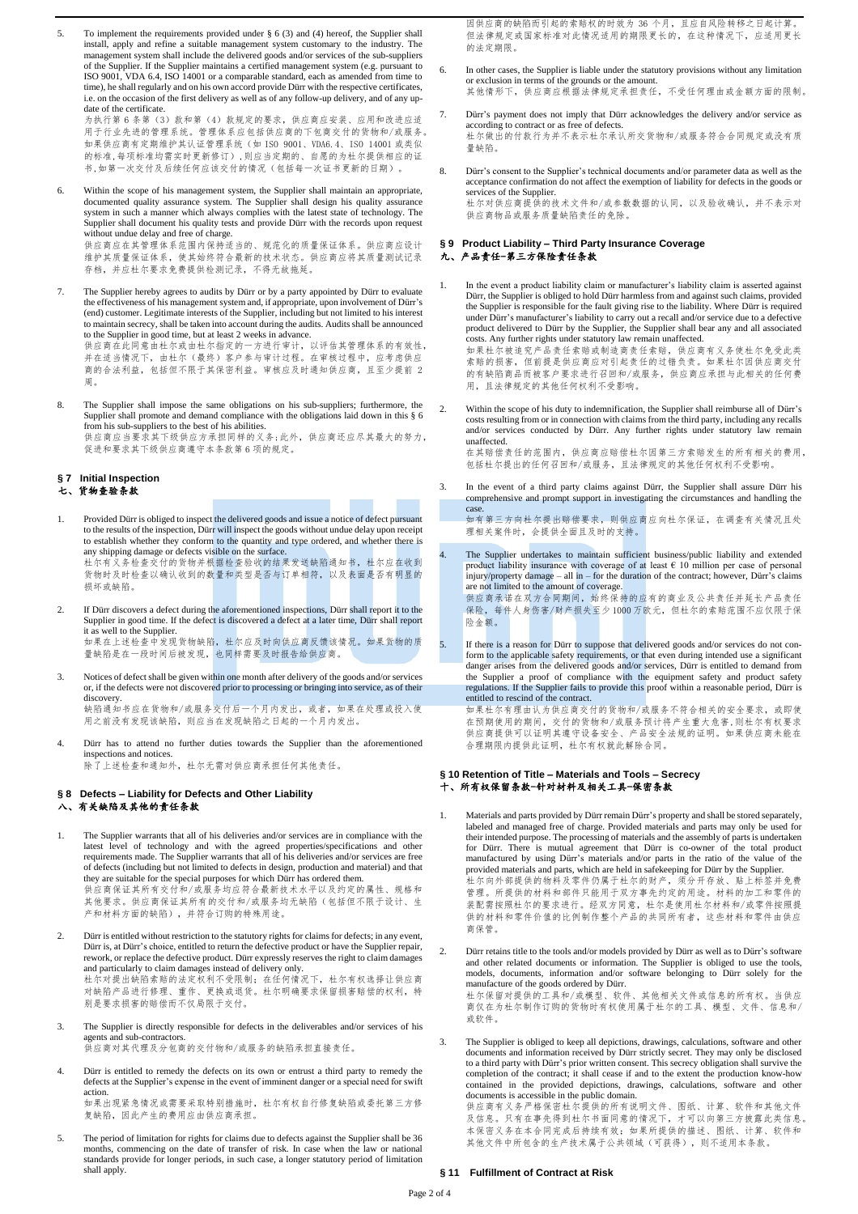5. To implement the requirements provided under § 6 (3) and (4) hereof, the Supplier shall install, apply and refine a suitable management system customary to the industry. The management system shall include the delivered goods and/or services of the sub-suppliers of the Supplier. If the Supplier maintains a certified management system (e.g. pursuant to ISO 9001, VDA 6.4, ISO 14001 or a comparable standard, each as amended from time to time), he shall regularly and on his own accord provide Dürr with the respective certificates, i.e. on the occasion of the first delivery as well as of any follow-up delivery, and of any update of the certificate. 为执行第 6 条第(3)款和第(4)款规定的要求, 供应商应安装、应用和改进应适

用于行业先进的管理系统。管理体系应包括供应商的下包商交付的货物和/或服务。 如果供应商有定期维护其认证管理系统(如 ISO 9001、VDA6.4、ISO 14001 或类似 的标准,每项标准均需实时更新修订),则应当定期的、自愿的为杜尔提供相应的证 书,如第一次交付及后续任何应该交付的情况(包括每一次证书更新的日期)。

6. Within the scope of his management system, the Supplier shall maintain an appropriate, documented quality assurance system. The Supplier shall design his quality assurance system in such a manner which always complies w Supplier shall document his quality tests and provide Dürr with the records upon request without undue delay and free of charge. 供应商应在其管理体系范围内保持适当的、规范化的质量保证体系。供应商应设计

维护其质量保证体系,使其始终符合最新的技术状态。供应商应将其质量测试记录 存档,并应杜尔要求免费提供检测记录,不得无故拖延。

7. The Supplier hereby agrees to audits by Dürr or by a party appointed by Dürr to evaluate the effectiveness of his management system and, if appropriate, upon involvement of Dürr's (end) customer. Legitimate interests of the Supplier, including but not limited to his interest to maintain secrecy, shall be taken into account during the audits. Audits shall be announced to the Supplier in good time, but at least 2 weeks in advance. 供应商在此同意由杜尔或由杜尔指定的一方进行审计,以评估其管理体系的有效性,

,在后日在2013年中,我在在2012年,我们的人工的工作,我们的人在<br>并在适当情况下,由杜尔(最终)客户参与审计过程。在审核过程中,应考虑供应 商的合法利益,包括但不限于其保密利益。审核应及时通知供应商,且至少提前 2 周。

The Supplier shall impose the same obligations on his sub-suppliers; furthermore, the Supplier shall promote and demand compliance with the obligations laid down in this § 6 from his sub-suppliers to the best of his abilities. 供应商应当要求其下级供应方承担同样的义务;此外,供应商还应尽其最大的努力, 促进和要求其下级供应商遵守本条款第 6 项的规定。

#### **§ 7 Initial Inspection** 七、货物查验条款

- 1. Provided Dürr is obliged to inspect the delivered goods and issue a notice of defect pursuant to the results of the inspection, Dürr will inspect the goods without undue delay upon receipt to establish whether they conform to the quantity and type ordered, and whether there is any shipping damage or defects visible on the surface. 杜尔有义务检查交付的货物并根据检查验收的结果发送缺陷通知书,杜尔应在收到 货物时及时检查以确认收到的数量和类型是否与订单相符,以及表面是否有明显的 损坏或缺陷。
- 2. If Dürr discovers a defect during the aforementioned inspections, Dürr shall report it to the Supplier in good time. If the defect is discovered a defect at a later time, Dürr shall report it as well to the Supplier. nds won to the deppensent<br>如果在上述检查中发现货物缺陷,杜尔应及时向供应商反馈该情况。如果货物的质 量缺陷是在一段时间后被发现,也同样需要及时报告给供应商。
- 3. Notices of defect shall be given within one month after delivery of the goods and/or services or, if the defects were not discovered prior to processing or bringing into service, as of their discovery. 缺陷通知书应在货物和/或服务交付后一个月内发出,或者,如果在处理或投入使 用之前没有发现该缺陷,则应当在发现缺陷之日起的一个月内发出。
- 4. Dürr has to attend no further duties towards the Supplier than the aforementioned inspections and notices. 除了上述检查和通知外,杜尔无需对供应商承担任何其他责任。
- **§ 8 Defects – Liability for Defects and Other Liability** 八、有关缺陷及其他的责任条款
- 1. The Supplier warrants that all of his deliveries and/or services are in compliance with the latest level of technology and with the agreed properties/specifications and other requirements made. The Supplier warrants that all of his deliveries and/or services are free of defects (including but not limited to defects in design, production and material) and that they are suitable for the special purposes for which Dürr has ordered them. 供应商保证其所有交付和/或服务均应符合最新技术水平以及约定的属性、规格和 其他要求。供应商保证其所有的交付和/或服务均无缺陷(包括但不限于设计、生 产和材料方面的缺陷),并符合订购的特殊用途。
- 2. Dürr is entitled without restriction to the statutory rights for claims for defects; in any event, Dürr is, at Dürr's choice, entitled to return the defective product or have the Supplier repair, rework, or replace the defective product. Dürr expressly reserves the right to claim damages and particularly to claim damages instead of delivery only. 杜尔对提出缺陷索赔的法定权利不受限制;在任何情况下,杜尔有权选择让供应商 对缺陷产品进行修理、重作、更换或退货。杜尔明确要求保留损害赔偿的权利,特 别是要求损害的赔偿而不仅局限于交付。
- 3. The Supplier is directly responsible for defects in the deliverables and/or services of his agents and sub-contractors.

供应商对其代理及分包商的交付物和/或服务的缺陷承担直接责任。

4. Dürr is entitled to remedy the defects on its own or entrust a third party to remedy the defects at the Supplier's expense in the event of imminent danger or a special need for swift action.

如果出现紧急情况或需要采取特别措施时,杜尔有权自行修复缺陷或委托第三方修 复缺陷,因此产生的费用应由供应商承担。

5. The period of limitation for rights for claims due to defects against the Supplier shall be 36 months, commencing on the date of transfer of risk. In case when the law or national standards provide for longer periods, in such case, a longer statutory period of limitation shall apply.

因供应商的缺陷而引起的索赔权的时效为 36 个月,且应自风险转移之日起计算。 但法律规定或国家标准对此情况适用的期限更长的,在这种情况下,应适用更长 的法定期限。

- 6. In other cases, the Supplier is liable under the statutory provisions without any limitation or exclusion in terms of the grounds or the amount. 其他情形下,供应商应根据法律规定承担责任,不受任何理由或金额方面的限制。
- 7. Dürr's payment does not imply that Dürr acknowledges the delivery and/or service as according to contract or as free of defects. 杜尔做出的付款行为并不表示杜尔承认所交货物和/或服务符合合同规定或没有质 量缺陷。
- 8. Dürr's consent to the Supplier's technical documents and/or parameter data as well as the acceptance confirmation do not affect the exemption of liability for defects in the goods or services of the Supplier. 杜尔对供应商提供的技术文件和/或参数数据的认同,以及验收确认,并不表示对 供应商物品或服务质量缺陷责任的免除。

### **§ 9 Product Liability – Third Party Insurance Coverage** 九、产品责任-第三方保险责任条款

1. In the event a product liability claim or manufacturer's liability claim is asserted against Dürr, the Supplier is obliged to hold Dürr harmless from and against such claims, provided the Supplier is responsible for the fault giving rise to the liability. Where Dürr is required under Dürr's manufacturer's liability to carry out a recall and/or service due to a defective product delivered to Dürr by the Supplier, the Supplier shall bear any and all associated

costs. Any further rights under statutory law remain unaffected.<br>如果杜尔被追究产品责任索赔或制造商责任索赔,供应商有义务使杜尔免受此类 索赔的损害,但前提是供应商应对引起责任的过错负责。如果杜尔因供应商交付 的有缺陷商品而被客户要求进行召回和/或服务,供应商应承担与此相关的任何费 用,且法律规定的其他任何权利不受影响。

Within the scope of his duty to indemnification, the Supplier shall reimburse all of Dürr's costs resulting from or in connection with claims from the third party, including any recalls and/or services conducted by Dürr. Any further rights under statutory law remain unaffected.

在其赔偿责任的范围内,供应商应赔偿杜尔因第三方索赔发生的所有相关的费用, 包括杜尔提出的任何召回和/或服务,且法律规定的其他任何权利不受影响。

3. In the event of a third party claims against Dürr, the Supplier shall assure Dürr his comprehensive and prompt support in investigating the circumstances and handling the case.

------<br>如有第三方向杜尔提出赔偿要求,则供应商应向杜尔保证,在调查有关情况且处 理相关案件时,会提供全面且及时的支持。

The Supplier undertakes to maintain sufficient business/public liability and extended product liability insurance with coverage of at least  $\epsilon$  10 million per case of personal injury/property damage – all in – for the duration of the contract; however, Dürr's claims are not limited to the amount of coverage. 供应商承诺在双方合同期间,始终保持的应有的商业及公共责任并延长产品责任

保险,每件人身伤害/财产损失至少 1000 万欧元,但杜尔的索赔范围不应仅限于保 险金额。

If there is a reason for D ürr to suppose that delivered goods and/or services do not conform to the applicable safety requirements, or that even during intended use a significant danger arises from the delivered goods and/or services, Dürr is entitled to demand from the Supplier a proof of compliance with the equipment safety and product safety regulations. If the Supplier fails to provide this proof within a reasonable period, Dürr is entitled to rescind of the contract. 如果杜尔有理由认为供应商交付的货物和/或服务不符合相关的安全要求,或即使

在预期使用的期间,交付的货物和/或服务预计将产生重大危害,则杜尔有权要求 供应商提供可以证明其遵守设备安全、产品安全法规的证明。如果供应商未能在 合理期限内提供此证明,杜尔有权就此解除合同。

#### **§ 10 Retention of Title – Materials and Tools – Secrecy** 。<br>十、所有权保留条款-针对材料及相关工具-保密条款

- 1. Materials and parts provided by Dürr remain Dürr's property and shall be stored separately, labeled and managed free of charge. Provided materials and parts may only be used for their intended purpose. The processing of materials and the assembly of parts is undertaken for Dürr. There is mutual agreement that Dürr is co-owner of the total product manufactured by using Dürr's materials and/or parts in the ratio of the value of the provided materials and parts, which are held in safekeeping for Dürr by the Supplier. 杜尔向外部提供的物料及零件仍属于杜尔的财产,须分开存放、贴上标签并免费 管理。所提供的材料和部件只能用于双方事先约定的用途。材料的加工和零件的 装配需按照杜尔的要求进行。经双方同意,杜尔是使用杜尔材料和/或零件按照提 供的材料和零件价值的比例制作整个产品的共同所有者,这些材料和零件由供应 商保管。
- 2. Dürr retains title to the tools and/or models provided by Dürr as well as to Dürr's software and other related documents or information. The Supplier is obliged to use the tools, models, documents, information and/or software belonging to Dürr solely for the manufacture of the goods ordered by Dürr. 杜尔保留对提供的工具和/或模型、软件、其他相关文件或信息的所有权。当供应 商仅在为杜尔制作订购的货物时有权使用属于杜尔的工具、模型、文件、信息和/ 或软件。
- 3. The Supplier is obliged to keep all depictions, drawings, calculations, software and other documents and information received by Dürr strictly secret. They may only be disclosed to a third party with Dürr's prior written consent. This secrecy obligation shall survive the completion of the contract; it shall cease if and to the extent the production know-how contained in the provided depictions, drawings, calculations, software and other documents is accessible in the public domain.

供应商有义务严格保密杜尔提供的所有说明文件、图纸、计算、软件和其他文件 及信息。只有在事先得到杜尔书面同意的情况下,才可以向第三方披露此类信息。 本保密义务在本合同完成后持续有效;如果所提供的描述、图纸、计算、软件和 其他文件中所包含的生产技术属于公共领域(可获得),则不适用本条款。

**§ 11 Fulfillment of Contract at Risk**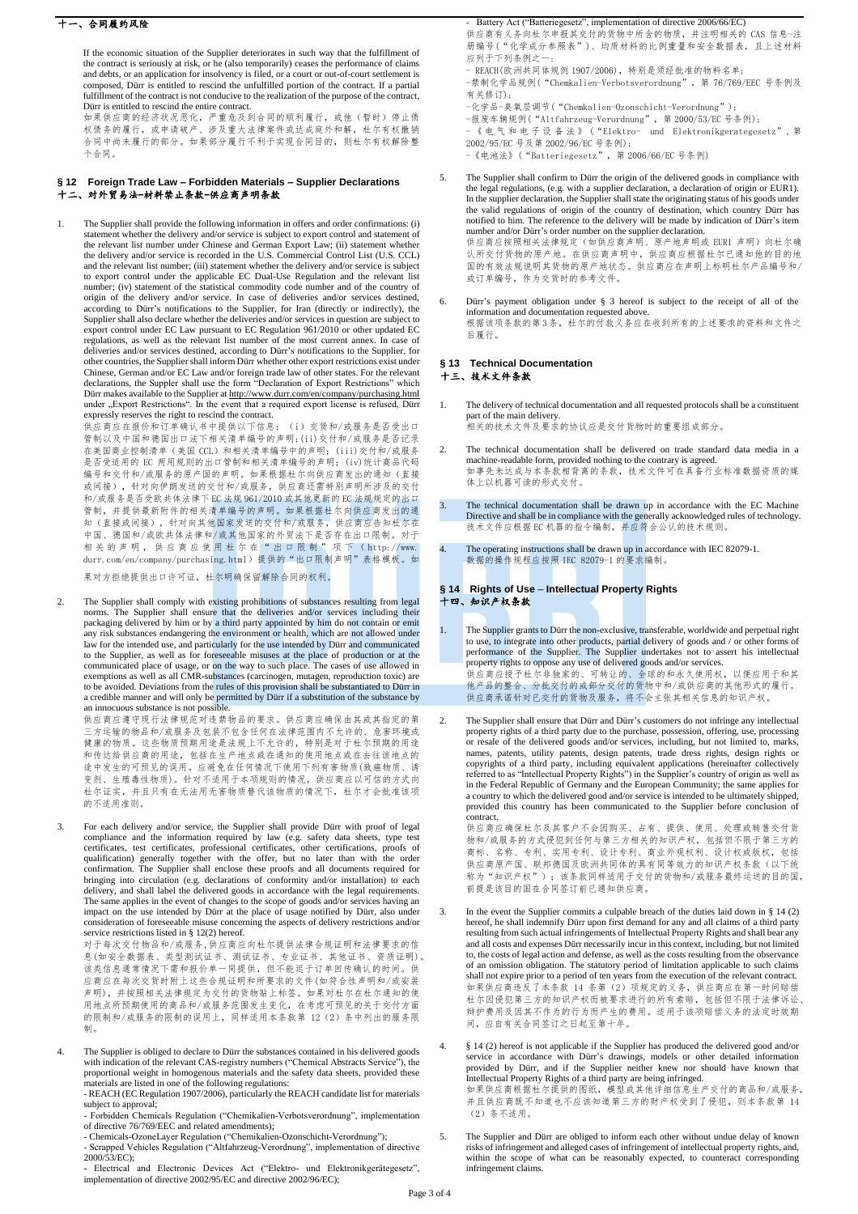### 十一、合同履约风险

If the economic situation of the Supplier deteriorates in such way that the fulfillment of the contract is seriously at risk, or he (also temporarily) ceases the performance of claims and debts, or an application for insolvency is filed, or a court or out-of-court settlement is composed, Dürr is entitled to rescind the unfulfilled portion of the contract. If a partial fulfillment of the contract is not conducive to the realization of the purpose of the contract, Dürr is entitled to rescind the entire contract.

如果供应商的经济状况恶化,严重危及到合同的顺利履行,或他(暂时)停止债 权债务的履行,或申请破产、涉及重大法律案件或达成庭外和解,杜尔有权撤销 合同中尚未履行的部分。如果部分履行不利于实现合同目的,则杜尔有权解除整 个合同。

#### **§12 Foreign Trade Law – Forbidden Materials – Supplier Declarations** 十二、对外贸易法-材料禁止条款-供应商声明条款

1. The Supplier shall provide the following information in offers and order confirmations: (i) statement whether the delivery and/or service is subject to export control and statement of the relevant list number under Chi and the relevant list number; (iii) statement whether the delivery and/or service is subject<br>to export control under the applicable EC Dual-Use Regulation and the relevant list<br>number; (iv) statement of the statistical com according to Dürr's notifications to the Supplier, for Iran (directly or indirectly), the Supplier shall also declare whether the deliveries and/or services in question are subject to<br>export control under EC Law pursuant to EC Regulation 961/2010 or other updated EC<br>regulations, as well as the relevant list num deliveries and/or services destined, according to Dürr's notifications to the Supplier, for other countries, the Supplier shall inform D ürr whether other export restrictions exist under<br>Chinese, German and/or EC Law and/or foreign trade law of other states. For the relevant<br>declarations, the Suppler shall use th expressly reserves the right to rescind the contract.<br>供应商应在报价和订单确认书中提供以下信息: (i)交货和/或服务是否受出口

管制以及中国和德国出口法下相关清单编号的声明;(ii)交付和/或服务是否记录 在美国商业控制清单(美国 CCL)和相关清单编号中的声明; (iii)交付和/或服务 是否受适用的 EC 两用规则的出口管制和相关清单编号的声明;(iv)统计商品代码 编号和交付和/或服务的原产国的声明。如果根据杜尔向供应商发出的通知(直接 或间接),针对向伊朗发送的交付和/或服务,供应商还需特别声明所涉及的交付 和/或服务是否受欧共体法律下 EC 法规 961/2010 或其他更新的 EC 法规规定的出口 管制,并提供最新附件的相关清单编号的声明。如果根据杜尔向供应商发出的通 知(直接或间接),针对向其他国家发送的交付和/或服务,供应商应告知杜尔在 中国、德国和/或欧共体法律和/或其他国家的外贸法下是否存在出口限制。对于 相关 的 声 明 , 供 应 商 应 使 用 杜 尔 在 " 出 口 限 制 "项 下 ( http://www. durr.com/en/company/purchasing.html) 提供的"出口限制声明"表格模板。如 果对方拒绝提供出口许可证,杜尔明确保留解除合同的权利。

2. The Supplier shall comply with existing prohibitions of substances resulting from legal norms. The Supplier shall ensure that the deliveries and/or services including their packaging delivered by him or by a third party appointed by him do not contain or emit any risk substances endangering the environment or health, which are not allowed under law for the intended use, and particularly for the use intended by Dürr and communicated to the Supplier, as well as for foreseeable misuses at the place of production or at the communicated place of usage, or on the way to such place. The cases of use allowed in exemptions as well as all CMR-substances (carcinogen, mutagen, reproduction toxic) are to be avoided. Deviations from the rules of this provision shall be substantiated to Dürr in<br>a credible manner and will only be permitted by Dürr if a substitution of the substance by<br>an innocuous substance is not possible

供应商应遵守现行法律规范对违禁物品的要求。供应商应确保由其或其指定的第 三方运输的物品和/或服务及包装不包含任何在法律范围内不允许的、危害环境或 健康的物质。这些物质预期用途是法规上不允许的,特别是对于杜尔预期的用途 和传达给供应商的用途,包括在生产地点或在通知的使用地点或在去往该地点的 途中发生的可预见的误用。应避免在任何情况下使用下列有害物质(致癌物质、诱 变剂、生殖毒性物质)。针对不适用于本项规则的情况,供应商应以可信的方式向 杜尔证实,并且只有在无法用无害物质替代该物质的情况下,杜尔才会批准该项 的不适用准则。

3. For each delivery and/or service, the Supplier shall provide Dürr with proof of legal compliance and the information required by law (e.g. safety data sheets, type test certificates, test certificates, professional cert confirmation. The Supplier shall enclose these proofs and all documents required for bringing into circulation (e.g. declarations of conformity and/or installation) to each delivery, and shall label the delivered goods in accordance with the legal requirements. The same applies in the event of changes to the scope of goods and/or services having an impact on the use intended by Dürr at the place of usage notified by Dürr, also under consideration of foreseeable misuse concerning the aspects of delivery restrictions and/or service restrictions listed in § 12(2) hereof.

对于每次交付物品和/或服务,供应商应向杜尔提供法律合规证明和法律要求的信 息(如安全数据表、类型测试证书、测试证书、专业证书、其他证书、资质证明)。 该类信息通常情况下需和报价单一同提供,但不能迟于订单回传确认的时间。供 应商应在每次交货时附上这些合规证明和所要求的文件(如符合性声明和/或安装 一同二二7, 7, 7, 7, 7, 7, 7, 2, 2, 2, 2, 2, 2, 2, 2, 3, 3, 3, 3, 3, 4, 2, 3, 4, 4, 4, 4, 4, 4, 4, 5, 4, 4, 4, 4, 4<br>声明), 并按照相关法律规定为交付的货物贴上标签。如果对杜尔在杜尔通知的使 用地点所预期使用的商品和/或服务范围发生变化,在考虑可预见的关于交付方面 的限制和/或服务的限制的误用上,同样适用本条款第 12(2)条中列出的服务限 制。

The Supplier is obliged to declare to Dürr the substances contained in his delivered goods with indication of the relevant CAS-registry numbers ("Chemical Abstracts Service"), the proportional weight in homogenous materials and the safety data sheets, provided these materials are listed in one of the following regulations: - REACH (EC Regulation 1907/2006), particularly the REACH candidate list for materials

subject to approval;

- Forbidden Chemicals Regulation ("Chemikalien-Verbotsverordnung", implementation of directive 76/769/EEC and related amendments);

- Chemicals-OzoneLayer Regulation ("Chemikalien-Ozonschicht-Verordnung"); - Scrapped Vehicles Regulation ("Altfahrzeug-Verordnung", implementation of directive 2000/53/EC);

- Electrical and Electronic Devices Act ("Elektro- und Elektronikgerätegesetz", implementation of directive 2002/95/EC and directive 2002/96/EC);

- Battery Act ("Batteriegesetz", implementation of directive 2006/66/EC) 供应商有义务向杜尔申报其交付的货物中所含的物质,并注明相关的 CAS 信息-注 册编号("化学成分参照表")、均质材料的比例重量和安全数据表,且上述材料 应列于下列条例之:

- REACH(欧洲共同体规例 1907/2006),特别是须经批准的物料名单;

-禁制化学品规例("Chemkalien-Verbotsverordnung",第 76/769/EEC 号条例及 有关修订);

-化学品-臭氧层调节("Chemkalien-Ozonschicht-Verordnung");

-报废车辆规例("Altfahrzeug-Verordnung", 第 2000/53/EC 号条例);

- 《 电 气 和 电 子 设 备 法 》 ("Elektro- und Elektronikgerategesetz", 第 2002/95/EC 号及第 2002/96/EC 号条例);

-《电池法》("Batteriegesetz",第 2006/66/EC 号条例)

- 5. The Supplier shall confirm to Dürr the origin of the delivered goods in compliance with the legal regulations, (e.g. with a supplier declaration, a declaration of origin or EUR1). In the supplier declaration, the Supplier shall state the originating status of his goods under the valid regulations of origin of the country of destination, which country Dürr has notified to him. The reference to the delivery will be made by indication of Dürr's item number and/or Dürr's order number on the supplier declaration. 供应商应按照相关法律规定(如供应商声明、原产地声明或 EUR1 声明)向杜尔确 认所交付货物的原产地。在供应商声明中,供应商应根据杜尔已通知他的目的地 国的有效法规说明其货物的原产地状态。供应商应在声明上标明杜尔产品编号和/ 或订单编号,作为交货时的参考文件。
- 6. Dürr's payment obligation under § 3 hereof is subject to the receipt of all of the information and documentation requested above. 根据该项条款的第3 条,杜尔的付款义务应在收到所有的上述要求的资料和文件之 后履行。

#### **§ 13 Technical Documentation** 十三、技术文件条款

- 1. The delivery of technical documentation and all requested protocols shall be a constituent part of the main delivery. 相关的技术文件及要求的协议应是交付货物时的重要组成部分。
- The technical documentation shall be delivered on trade standard data media in a machine-readable form, provided nothing to the contrary is agreed. 如事先未达成与本条款相背离的条款,技术文件可在具备行业标准数据资质的媒 体上以机器可读的形式交付。
- The technical documentation shall be drawn up in accordance with the EC Machine Directive and shall be in compliance with the generally acknowledged rules of technology. 技术文件应根据 EC 机器的指令编制,并应符合公认的技术规则。
- The operating instructions shall be drawn up in accordance with IEC 82079-1. 数据的操作规程应按照 IEC 82079-1 的要求编制。

### **§ 14 Rights of Use** – **Intellectual Property Rights** 十四、知识产权条款

- The Supplier grants to Dürr the non-exclusive, transferable, worldwide and perpetual right to use, to integrate into other products, partial delivery of goods and / or other forms of performance of the Supplier. The Supplier undertakes not to assert his intellectual property rights to oppose any use of delivered goods and/or services. 供应商应授予杜尔非独家的、可转让的、全球的和永久使用权,以便应用于和其 他产品的整合、分批交付的或部分交付的货物中和/或供应商的其他形式的履行。 供应商承诺针对已交付的货物及服务,将不会主张其相关信息的知识产权。
- 2. The Supplier shall ensure that Dürr and Dürr's customers do not infringe any intellectual property rights of a third party due to the purchase, possession, offering, use, processing or resale of the delivered goods and/or services, including, but not limited to, marks, names, patents, utility patents, design patents, trade dress rights, design rights or copyrights of a third party, including equivalent applications (hereinafter collectively<br>referred to as "Intellectual Property Rights") in the Supplier's country of origin as well as<br>in the Federal Republic of Germany and a country to which the delivered good and/or service is intended to be ultimately shipped, provided this country has been communicated to the Supplier before conclusion of contract.

供应商应确保杜尔及其客户不会因购买、占有、提供、使用、处理或转售交付货 物和/或服务的方式侵犯到任何与第三方相关的知识产权,包括但不限于第三方的 商标、名称、专利、实用专利、设计专利、商业外观权利、设计权或版权,包括 供应商原产国、联邦德国及欧洲共同体的具有同等效力的知识产权条款(以下统 称为"知识产权");该条款同样适用于交付的货物和/或服务最终运送的目的国, 前提是该目的国在合同签订前已通知供应商。

3. In the event the Supplier commits a culpable breach of the duties laid down in § 14 (2) hereof, he shall indemnify Dürr upon first demand for any and all claims of a third party resulting from such actual infringements of Intellectual Property Rights and shall bear any and all costs and expenses Dürr necessarily incur in this context, including, but not limited to, the costs of legal action and defense, as well as the costs resulting from the observance of an omission obligation. The statutory period of limitation applicable to such claims shall not expire prior to a period of ten years from the execution of the relevant contract. 如果供应商违反了本条款 14 条第(2)项规定的义务,供应商应在第一时间赔偿 杜尔因侵犯第三方的知识产权而被要求进行的所有索赔,包括但不限于法律诉讼、 辩护费用及因其不作为的行为而产生的费用。适用于该项赔偿义务的法定时效期 间,应自有关合同签订之日起至第十年。

4. § 14 (2) hereof is not applicable if the Supplier has produced the delivered good and/or service in accordance with Dürr's drawings, models or other detailed information provided by Dürr, and if the Supplier neither knew nor should have known that Intellectual Property Rights of a third party are being infringed.<br>如果供应商根据杜尔提供的图纸,模型或其他详细信息生产交付的商品和/或服务, 并且供应商既不知道也不应该知道第三方的财产权受到了侵犯,则本条款第 14 (2)条不适用。

5. The Supplier and Dürr are obliged to inform each other without undue delay of known risks of infringement and alleged cases of infringement of intellectual property rights, and, within the scope of what can be reasonably expected, to counteract corresponding infringement claims.